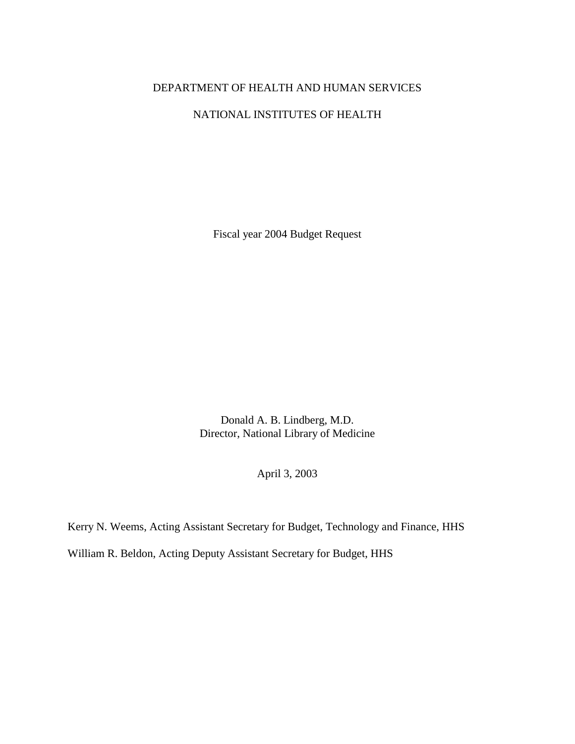## DEPARTMENT OF HEALTH AND HUMAN SERVICES

## NATIONAL INSTITUTES OF HEALTH

Fiscal year 2004 Budget Request

Donald A. B. Lindberg, M.D. Director, National Library of Medicine

April 3, 2003

Kerry N. Weems, Acting Assistant Secretary for Budget, Technology and Finance, HHS William R. Beldon, Acting Deputy Assistant Secretary for Budget, HHS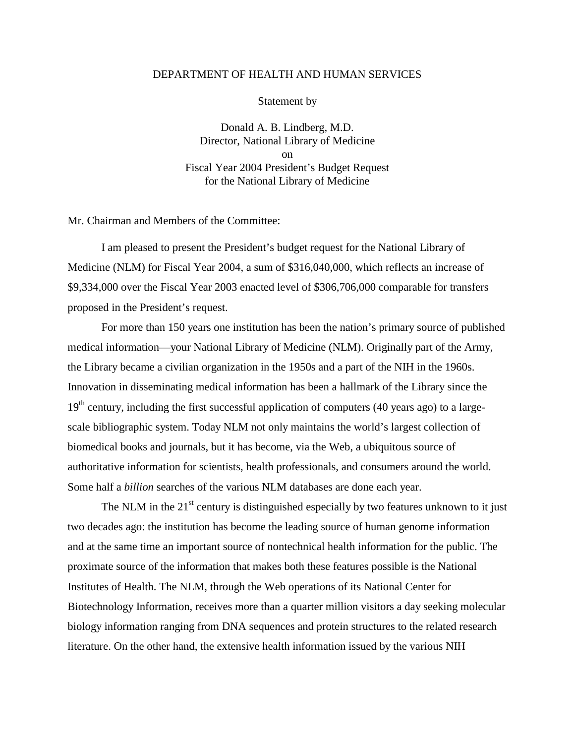### DEPARTMENT OF HEALTH AND HUMAN SERVICES

Statement by

Donald A. B. Lindberg, M.D. Director, National Library of Medicine on Fiscal Year 2004 President's Budget Request for the National Library of Medicine

Mr. Chairman and Members of the Committee:

I am pleased to present the President's budget request for the National Library of Medicine (NLM) for Fiscal Year 2004, a sum of \$316,040,000, which reflects an increase of \$9,334,000 over the Fiscal Year 2003 enacted level of \$306,706,000 comparable for transfers proposed in the President's request.

For more than 150 years one institution has been the nation's primary source of published medical information—your National Library of Medicine (NLM). Originally part of the Army, the Library became a civilian organization in the 1950s and a part of the NIH in the 1960s. Innovation in disseminating medical information has been a hallmark of the Library since the  $19<sup>th</sup>$  century, including the first successful application of computers (40 years ago) to a largescale bibliographic system. Today NLM not only maintains the world's largest collection of biomedical books and journals, but it has become, via the Web, a ubiquitous source of authoritative information for scientists, health professionals, and consumers around the world. Some half a *billion* searches of the various NLM databases are done each year.

The NLM in the  $21<sup>st</sup>$  century is distinguished especially by two features unknown to it just two decades ago: the institution has become the leading source of human genome information and at the same time an important source of nontechnical health information for the public. The proximate source of the information that makes both these features possible is the National Institutes of Health. The NLM, through the Web operations of its National Center for Biotechnology Information, receives more than a quarter million visitors a day seeking molecular biology information ranging from DNA sequences and protein structures to the related research literature. On the other hand, the extensive health information issued by the various NIH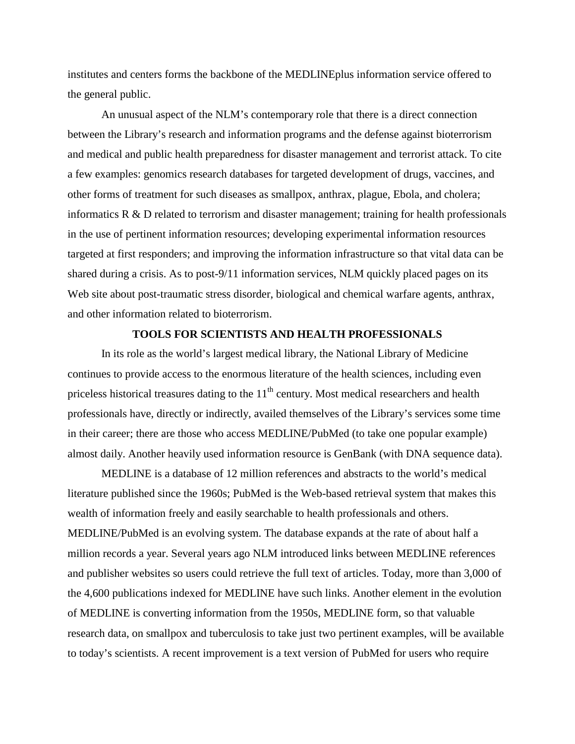institutes and centers forms the backbone of the MEDLINEplus information service offered to the general public.

An unusual aspect of the NLM's contemporary role that there is a direct connection between the Library's research and information programs and the defense against bioterrorism and medical and public health preparedness for disaster management and terrorist attack. To cite a few examples: genomics research databases for targeted development of drugs, vaccines, and other forms of treatment for such diseases as smallpox, anthrax, plague, Ebola, and cholera; informatics  $R \& D$  related to terrorism and disaster management; training for health professionals in the use of pertinent information resources; developing experimental information resources targeted at first responders; and improving the information infrastructure so that vital data can be shared during a crisis. As to post-9/11 information services, NLM quickly placed pages on its Web site about post-traumatic stress disorder, biological and chemical warfare agents, anthrax, and other information related to bioterrorism.

#### **TOOLS FOR SCIENTISTS AND HEALTH PROFESSIONALS**

In its role as the world's largest medical library, the National Library of Medicine continues to provide access to the enormous literature of the health sciences, including even priceless historical treasures dating to the  $11<sup>th</sup>$  century. Most medical researchers and health professionals have, directly or indirectly, availed themselves of the Library's services some time in their career; there are those who access MEDLINE/PubMed (to take one popular example) almost daily. Another heavily used information resource is GenBank (with DNA sequence data).

MEDLINE is a database of 12 million references and abstracts to the world's medical literature published since the 1960s; PubMed is the Web-based retrieval system that makes this wealth of information freely and easily searchable to health professionals and others. MEDLINE/PubMed is an evolving system. The database expands at the rate of about half a million records a year. Several years ago NLM introduced links between MEDLINE references and publisher websites so users could retrieve the full text of articles. Today, more than 3,000 of the 4,600 publications indexed for MEDLINE have such links. Another element in the evolution of MEDLINE is converting information from the 1950s, MEDLINE form, so that valuable research data, on smallpox and tuberculosis to take just two pertinent examples, will be available to today's scientists. A recent improvement is a text version of PubMed for users who require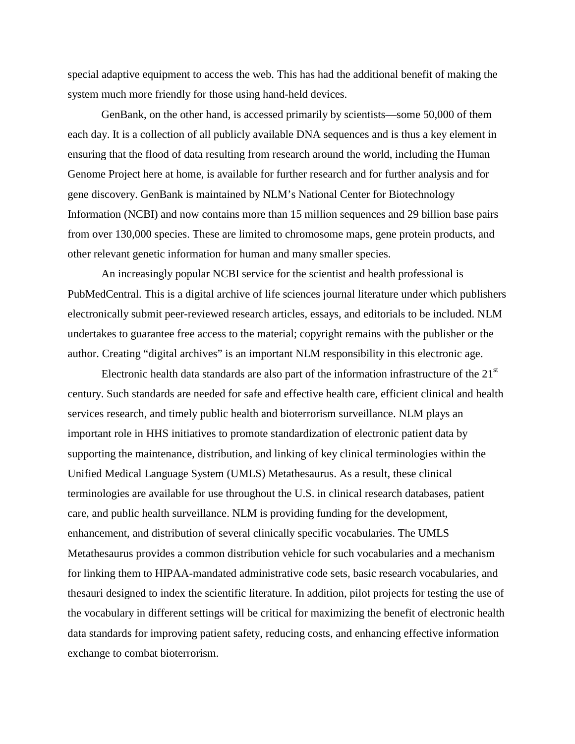special adaptive equipment to access the web. This has had the additional benefit of making the system much more friendly for those using hand-held devices.

GenBank, on the other hand, is accessed primarily by scientists—some 50,000 of them each day. It is a collection of all publicly available DNA sequences and is thus a key element in ensuring that the flood of data resulting from research around the world, including the Human Genome Project here at home, is available for further research and for further analysis and for gene discovery. GenBank is maintained by NLM's National Center for Biotechnology Information (NCBI) and now contains more than 15 million sequences and 29 billion base pairs from over 130,000 species. These are limited to chromosome maps, gene protein products, and other relevant genetic information for human and many smaller species.

An increasingly popular NCBI service for the scientist and health professional is PubMedCentral. This is a digital archive of life sciences journal literature under which publishers electronically submit peer-reviewed research articles, essays, and editorials to be included. NLM undertakes to guarantee free access to the material; copyright remains with the publisher or the author. Creating "digital archives" is an important NLM responsibility in this electronic age.

Electronic health data standards are also part of the information infrastructure of the  $21<sup>st</sup>$ century. Such standards are needed for safe and effective health care, efficient clinical and health services research, and timely public health and bioterrorism surveillance. NLM plays an important role in HHS initiatives to promote standardization of electronic patient data by supporting the maintenance, distribution, and linking of key clinical terminologies within the Unified Medical Language System (UMLS) Metathesaurus. As a result, these clinical terminologies are available for use throughout the U.S. in clinical research databases, patient care, and public health surveillance. NLM is providing funding for the development, enhancement, and distribution of several clinically specific vocabularies. The UMLS Metathesaurus provides a common distribution vehicle for such vocabularies and a mechanism for linking them to HIPAA-mandated administrative code sets, basic research vocabularies, and thesauri designed to index the scientific literature. In addition, pilot projects for testing the use of the vocabulary in different settings will be critical for maximizing the benefit of electronic health data standards for improving patient safety, reducing costs, and enhancing effective information exchange to combat bioterrorism.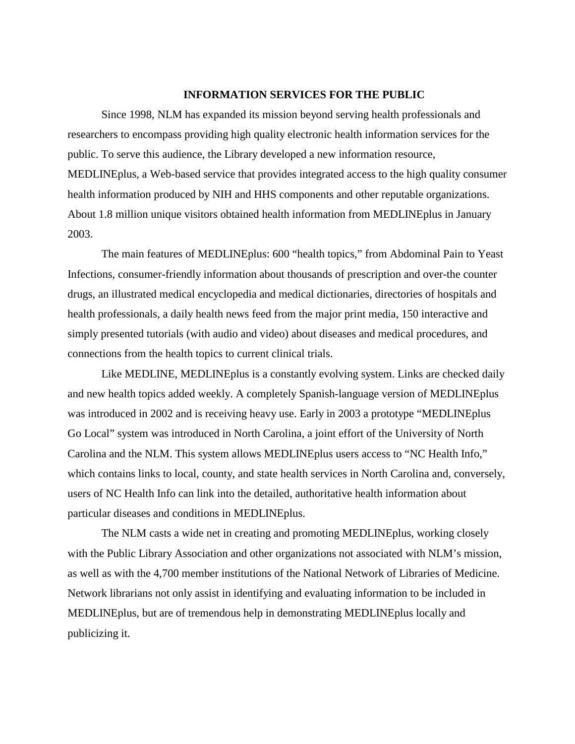### **INFORMATION SERVICES FOR THE PUBLIC**

Since 1998, NLM has expanded its mission beyond serving health professionals and researchers to encompass providing high quality electronic health information services for the public. To serve this audience, the Library developed a new information resource, MEDLINEplus, a Web-based service that provides integrated access to the high quality consumer health information produced by NIH and HHS components and other reputable organizations. About 1.8 million unique visitors obtained health information from MEDLINEplus in January 2003.

The main features of MEDLINEplus: 600 "health topics," from Abdominal Pain to Yeast Infections, consumer-friendly information about thousands of prescription and over-the counter drugs, an illustrated medical encyclopedia and medical dictionaries, directories of hospitals and health professionals, a daily health news feed from the major print media, 150 interactive and simply presented tutorials (with audio and video) about diseases and medical procedures, and connections from the health topics to current clinical trials.

Like MEDLINE, MEDLINEplus is a constantly evolving system. Links are checked daily and new health topics added weekly. A completely Spanish-language version of MEDLINEplus was introduced in 2002 and is receiving heavy use. Early in 2003 a prototype "MEDLINEplus Go Local" system was introduced in North Carolina, a joint effort of the University of North Carolina and the NLM. This system allows MEDLINEplus users access to "NC Health Info," which contains links to local, county, and state health services in North Carolina and, conversely, users of NC Health Info can link into the detailed, authoritative health information about particular diseases and conditions in MEDLINEplus.

The NLM casts a wide net in creating and promoting MEDLINEplus, working closely with the Public Library Association and other organizations not associated with NLM's mission, as well as with the 4,700 member institutions of the National Network of Libraries of Medicine. Network librarians not only assist in identifying and evaluating information to be included in MEDLINEplus, but are of tremendous help in demonstrating MEDLINEplus locally and publicizing it.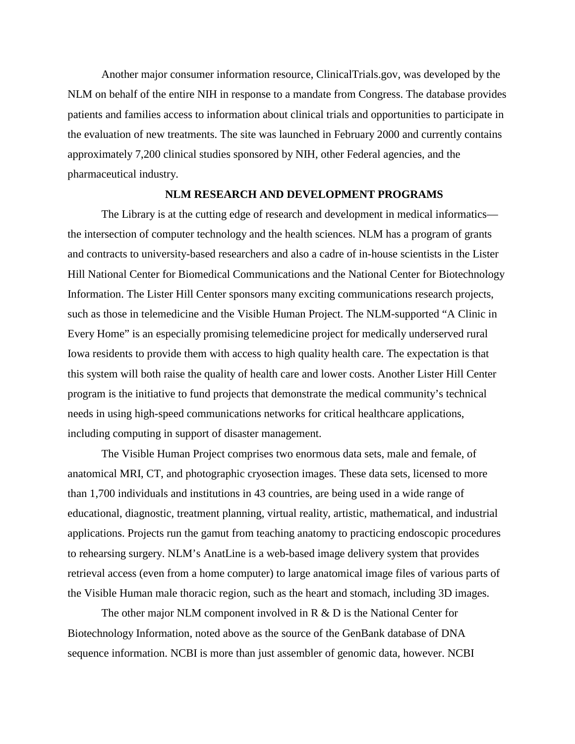pharmaceutical industry. Another major consumer information resource, ClinicalTrials.gov, was developed by the NLM on behalf of the entire NIH in response to a mandate from Congress. The database provides patients and families access to information about clinical trials and opportunities to participate in the evaluation of new treatments. The site was launched in February 2000 and currently contains approximately 7,200 clinical studies sponsored by NIH, other Federal agencies, and the

#### **NLM RESEARCH AND DEVELOPMENT PROGRAMS**

The Library is at the cutting edge of research and development in medical informatics the intersection of computer technology and the health sciences. NLM has a program of grants and contracts to university-based researchers and also a cadre of in-house scientists in the Lister Hill National Center for Biomedical Communications and the National Center for Biotechnology Information. The Lister Hill Center sponsors many exciting communications research projects, such as those in telemedicine and the Visible Human Project. The NLM-supported "A Clinic in Every Home" is an especially promising telemedicine project for medically underserved rural Iowa residents to provide them with access to high quality health care. The expectation is that this system will both raise the quality of health care and lower costs. Another Lister Hill Center program is the initiative to fund projects that demonstrate the medical community's technical needs in using high-speed communications networks for critical healthcare applications, including computing in support of disaster management.

The Visible Human Project comprises two enormous data sets, male and female, of anatomical MRI, CT, and photographic cryosection images. These data sets, licensed to more than 1,700 individuals and institutions in 43 countries, are being used in a wide range of educational, diagnostic, treatment planning, virtual reality, artistic, mathematical, and industrial applications. Projects run the gamut from teaching anatomy to practicing endoscopic procedures to rehearsing surgery. NLM's AnatLine is a web-based image delivery system that provides retrieval access (even from a home computer) to large anatomical image files of various parts of the Visible Human male thoracic region, such as the heart and stomach, including 3D images.

The other major NLM component involved in  $R \& D$  is the National Center for Biotechnology Information, noted above as the source of the GenBank database of DNA sequence information. NCBI is more than just assembler of genomic data, however. NCBI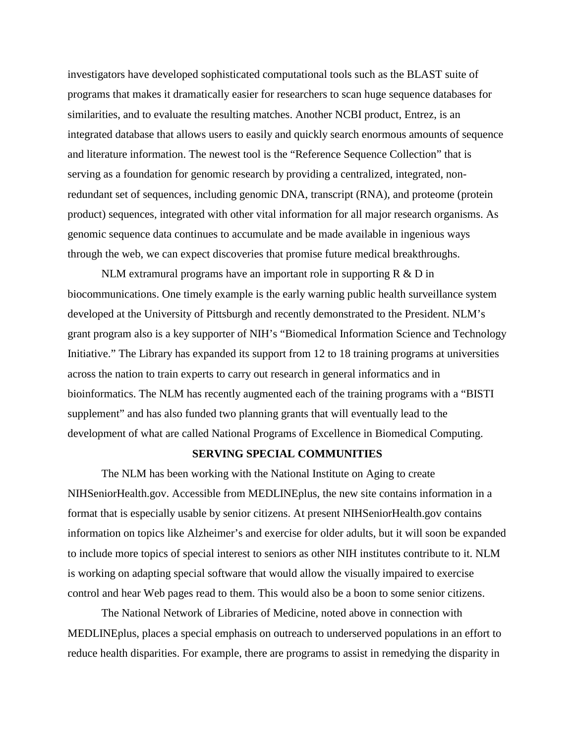investigators have developed sophisticated computational tools such as the BLAST suite of programs that makes it dramatically easier for researchers to scan huge sequence databases for similarities, and to evaluate the resulting matches. Another NCBI product, Entrez, is an integrated database that allows users to easily and quickly search enormous amounts of sequence and literature information. The newest tool is the "Reference Sequence Collection" that is serving as a foundation for genomic research by providing a centralized, integrated, nonredundant set of sequences, including genomic DNA, transcript (RNA), and proteome (protein product) sequences, integrated with other vital information for all major research organisms. As genomic sequence data continues to accumulate and be made available in ingenious ways through the web, we can expect discoveries that promise future medical breakthroughs.

 development of what are called National Programs of Excellence in Biomedical Computing. NLM extramural programs have an important role in supporting  $R \& D$  in biocommunications. One timely example is the early warning public health surveillance system developed at the University of Pittsburgh and recently demonstrated to the President. NLM's grant program also is a key supporter of NIH's "Biomedical Information Science and Technology Initiative." The Library has expanded its support from 12 to 18 training programs at universities across the nation to train experts to carry out research in general informatics and in bioinformatics. The NLM has recently augmented each of the training programs with a "BISTI supplement" and has also funded two planning grants that will eventually lead to the

#### **SERVING SPECIAL COMMUNITIES**

The NLM has been working with the National Institute on Aging to create NIHSeniorHealth.gov. Accessible from MEDLINEplus, the new site contains information in a format that is especially usable by senior citizens. At present NIHSeniorHealth.gov contains information on topics like Alzheimer's and exercise for older adults, but it will soon be expanded to include more topics of special interest to seniors as other NIH institutes contribute to it. NLM is working on adapting special software that would allow the visually impaired to exercise control and hear Web pages read to them. This would also be a boon to some senior citizens.

The National Network of Libraries of Medicine, noted above in connection with MEDLINEplus, places a special emphasis on outreach to underserved populations in an effort to reduce health disparities. For example, there are programs to assist in remedying the disparity in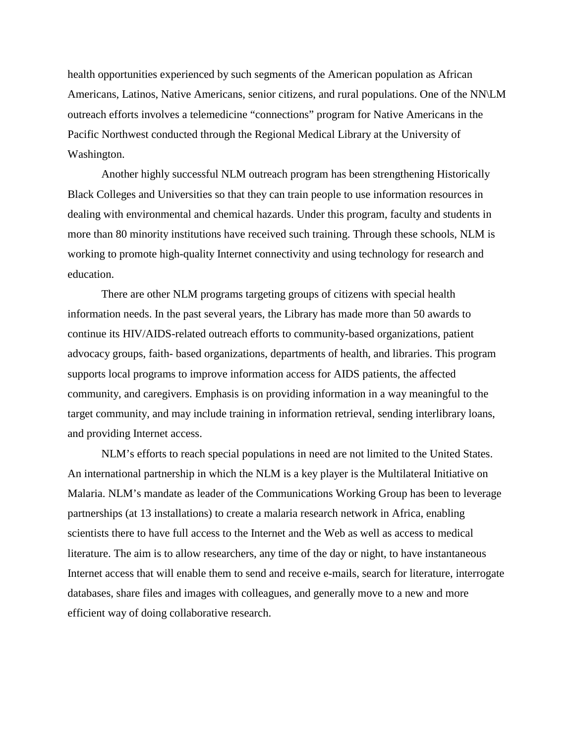health opportunities experienced by such segments of the American population as African Americans, Latinos, Native Americans, senior citizens, and rural populations. One of the NN\LM outreach efforts involves a telemedicine "connections" program for Native Americans in the Pacific Northwest conducted through the Regional Medical Library at the University of Washington.

Another highly successful NLM outreach program has been strengthening Historically Black Colleges and Universities so that they can train people to use information resources in dealing with environmental and chemical hazards. Under this program, faculty and students in more than 80 minority institutions have received such training. Through these schools, NLM is working to promote high-quality Internet connectivity and using technology for research and education.

There are other NLM programs targeting groups of citizens with special health information needs. In the past several years, the Library has made more than 50 awards to continue its HIV/AIDS-related outreach efforts to community-based organizations, patient advocacy groups, faith- based organizations, departments of health, and libraries. This program supports local programs to improve information access for AIDS patients, the affected community, and caregivers. Emphasis is on providing information in a way meaningful to the target community, and may include training in information retrieval, sending interlibrary loans, and providing Internet access.

NLM's efforts to reach special populations in need are not limited to the United States. An international partnership in which the NLM is a key player is the Multilateral Initiative on Malaria. NLM's mandate as leader of the Communications Working Group has been to leverage partnerships (at 13 installations) to create a malaria research network in Africa, enabling scientists there to have full access to the Internet and the Web as well as access to medical literature. The aim is to allow researchers, any time of the day or night, to have instantaneous Internet access that will enable them to send and receive e-mails, search for literature, interrogate databases, share files and images with colleagues, and generally move to a new and more efficient way of doing collaborative research.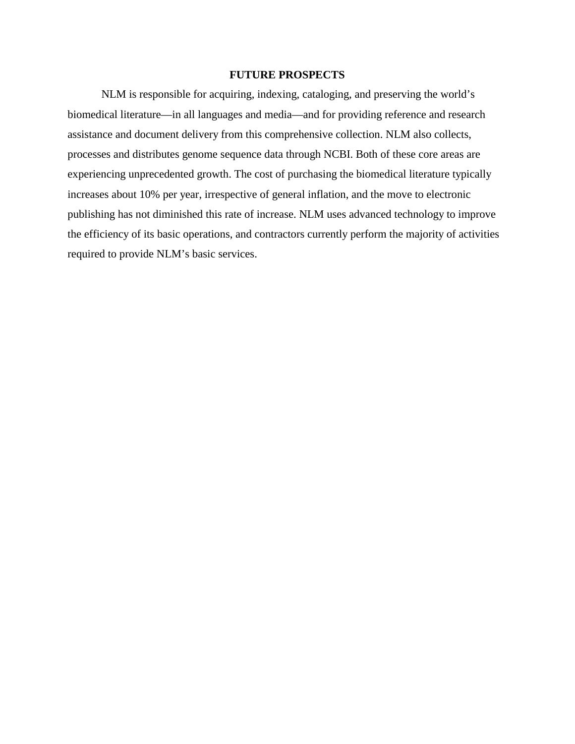## **FUTURE PROSPECTS**

NLM is responsible for acquiring, indexing, cataloging, and preserving the world's biomedical literature—in all languages and media—and for providing reference and research assistance and document delivery from this comprehensive collection. NLM also collects, processes and distributes genome sequence data through NCBI. Both of these core areas are experiencing unprecedented growth. The cost of purchasing the biomedical literature typically increases about 10% per year, irrespective of general inflation, and the move to electronic publishing has not diminished this rate of increase. NLM uses advanced technology to improve the efficiency of its basic operations, and contractors currently perform the majority of activities required to provide NLM's basic services.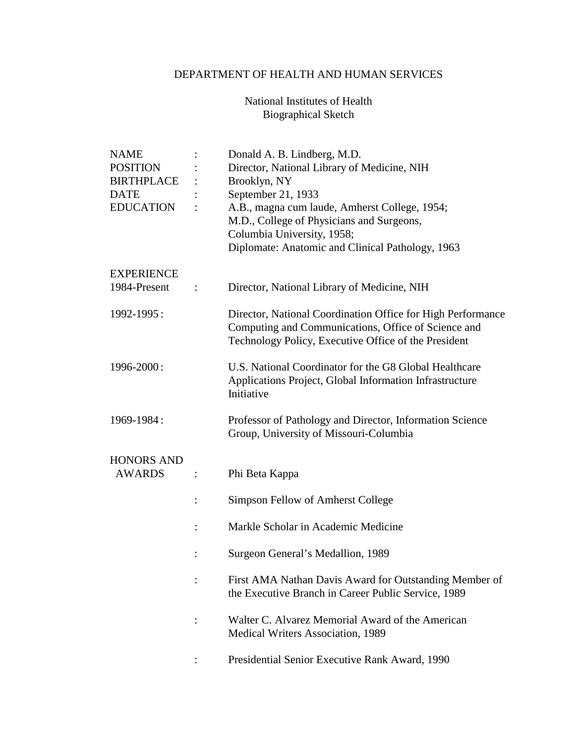# DEPARTMENT OF HEALTH AND HUMAN SERVICES

# National Institutes of Health Biographical Sketch

| NAME              | Donald A. B. Lindberg, M.D.                                 |
|-------------------|-------------------------------------------------------------|
| <b>POSITION</b>   | Director, National Library of Medicine, NIH                 |
| <b>BIRTHPLACE</b> | Brooklyn, NY                                                |
| DATE              | September 21, 1933                                          |
| <b>EDUCATION</b>  | A.B., magna cum laude, Amherst College, 1954;               |
|                   | M.D., College of Physicians and Surgeons,                   |
|                   | Columbia University, 1958;                                  |
|                   | Diplomate: Anatomic and Clinical Pathology, 1963            |
| EXPERIENCE        |                                                             |
| 1984-Present      | Director, National Library of Medicine, NIH                 |
| 1992-1995:        | Director, National Coordination Office for High Performance |
|                   | Computing and Communications, Office of Science and         |
|                   | Technology Policy, Executive Office of the President        |
| 1996-2000:        | U.S. National Coordinator for the G8 Global Healthcare      |
|                   | Applications Project, Global Information Infrastructure     |
|                   | Initiative                                                  |
| 1969-1984:        | Professor of Pathology and Director, Information Science    |
|                   | Group, University of Missouri-Columbia                      |
| HONORS AND        |                                                             |
| <b>AWARDS</b>     | Phi Beta Kappa                                              |
|                   | Simpson Fellow of Amherst College                           |
|                   | Markle Scholar in Academic Medicine                         |
|                   |                                                             |
|                   | Surgeon General's Medallion, 1989                           |
|                   | First AMA Nathan Davis Award for Outstanding Member of      |
|                   | the Executive Branch in Career Public Service, 1989         |
|                   | Walter C. Alvarez Memorial Award of the American            |
|                   | Medical Writers Association, 1989                           |
|                   | Presidential Senior Executive Rank Award, 1990              |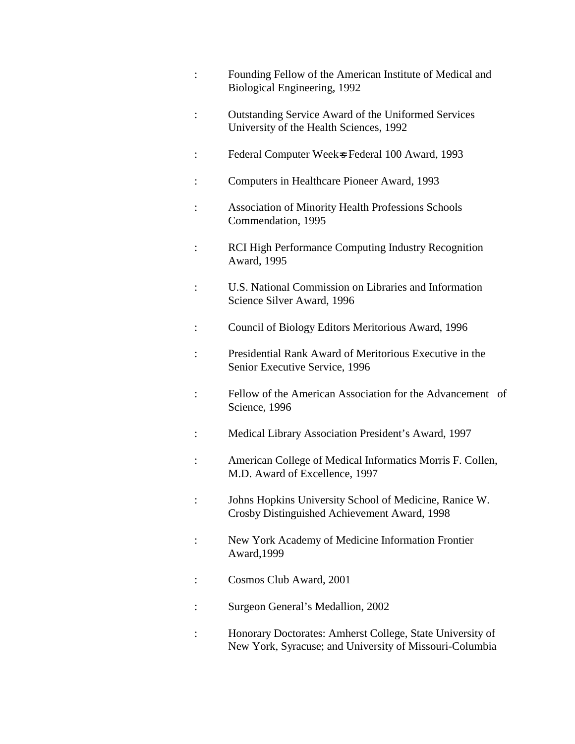- : Founding Fellow of the American Institute of Medical and Biological Engineering, 1992 : Outstanding Service Award of the Uniformed Services University of the Health Sciences, 1992 : Federal Computer Week=s Federal 100 Award, 1993
- : Computers in Healthcare Pioneer Award, 1993
- : Association of Minority Health Professions Schools Commendation, 1995
- : RCI High Performance Computing Industry Recognition Award, 1995
- : U.S. National Commission on Libraries and Information Science Silver Award, 1996
- : Council of Biology Editors Meritorious Award, 1996
- : Presidential Rank Award of Meritorious Executive in the Senior Executive Service, 1996
- : Fellow of the American Association for the Advancement of Science, 1996
- : Medical Library Association President's Award, 1997
- : American College of Medical Informatics Morris F. Collen, M.D. Award of Excellence, 1997
- : Johns Hopkins University School of Medicine, Ranice W. Crosby Distinguished Achievement Award, 1998
- : New York Academy of Medicine Information Frontier Award,1999
- : Cosmos Club Award, 2001
- : Surgeon General's Medallion, 2002
- : Honorary Doctorates: Amherst College, State University of New York, Syracuse; and University of Missouri-Columbia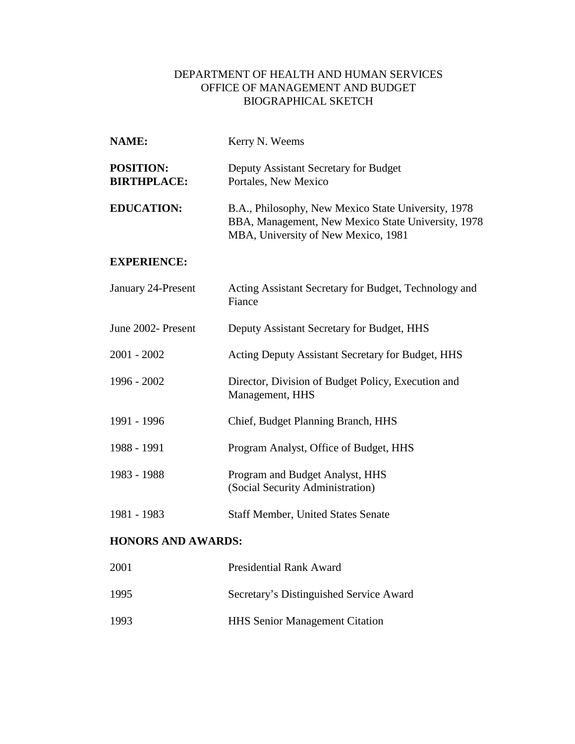## DEPARTMENT OF HEALTH AND HUMAN SERVICES OFFICE OF MANAGEMENT AND BUDGET BIOGRAPHICAL SKETCH

| <b>NAME:</b>                           | Kerry N. Weems                                                                                                                                   |
|----------------------------------------|--------------------------------------------------------------------------------------------------------------------------------------------------|
| <b>POSITION:</b><br><b>BIRTHPLACE:</b> | Deputy Assistant Secretary for Budget<br>Portales, New Mexico                                                                                    |
| <b>EDUCATION:</b>                      | B.A., Philosophy, New Mexico State University, 1978<br>BBA, Management, New Mexico State University, 1978<br>MBA, University of New Mexico, 1981 |
| <b>EXPERIENCE:</b>                     |                                                                                                                                                  |
| January 24-Present                     | Acting Assistant Secretary for Budget, Technology and<br>Fiance                                                                                  |
| June 2002- Present                     | Deputy Assistant Secretary for Budget, HHS                                                                                                       |
| $2001 - 2002$                          | Acting Deputy Assistant Secretary for Budget, HHS                                                                                                |
| 1996 - 2002                            | Director, Division of Budget Policy, Execution and<br>Management, HHS                                                                            |
| 1991 - 1996                            | Chief, Budget Planning Branch, HHS                                                                                                               |
| 1988 - 1991                            | Program Analyst, Office of Budget, HHS                                                                                                           |
| 1983 - 1988                            | Program and Budget Analyst, HHS<br>(Social Security Administration)                                                                              |
| 1981 - 1983                            | <b>Staff Member, United States Senate</b>                                                                                                        |
| <b>HONORS AND AWARDS:</b>              |                                                                                                                                                  |
| 2001                                   | <b>Presidential Rank Award</b>                                                                                                                   |

- 1995 Secretary's Distinguished Service Award
- 1993 HHS Senior Management Citation